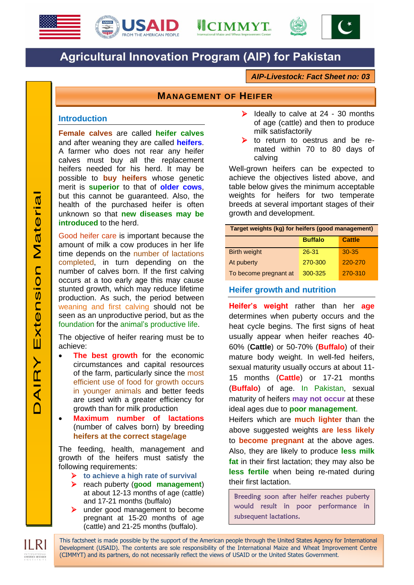







# **Agricultural Innovation Program (AIP) for Pakistan**

*AIP-Livestock: Fact Sheet no: 03*

# **MANAGEMENT OF HEIFER**

#### **Introduction**

**Female calves** are called **heifer calves** and after weaning they are called **heifers**. A farmer who does not rear any heifer calves must buy all the replacement heifers needed for his herd. It may be possible to **buy heifers** whose genetic merit is **superior** to that of **older cows**, but this cannot be guaranteed. Also, the health of the purchased heifer is often unknown so that **new diseases may be introduced** to the herd.

Good heifer care is important because the amount of milk a cow produces in her life time depends on the number of lactations completed, in turn depending on the number of calves born. If the first calving occurs at a too early age this may cause stunted growth, which may reduce lifetime production. As such, the period between weaning and first calving should not be seen as an unproductive period, but as the foundation for the animal's productive life.

The objective of heifer rearing must be to achieve:

- **The best growth** for the economic circumstances and capital resources of the farm, particularly since the most efficient use of food for growth occurs in younger animals and better feeds are used with a greater efficiency for growth than for milk production
- **Maximum number of lactations** (number of calves born) by breeding **heifers at the correct stage/age**

The feeding, health, management and growth of the heifers must satisfy the following requirements:

- **to achieve a high rate of survival**
- reach puberty (**good management**) at about 12-13 months of age (cattle) and 17-21 months (buffalo)
- under good management to become pregnant at 15-20 months of age (cattle) and 21-25 months (buffalo).
- $\triangleright$  Ideally to calve at 24 30 months of age (cattle) and then to produce milk satisfactorily
- $\triangleright$  to return to oestrus and be remated within 70 to 80 days of calving

Well-grown heifers can be expected to achieve the objectives listed above, and table below gives the minimum acceptable weights for heifers for two temperate breeds at several important stages of their growth and development.

| Target weights (kg) for heifers (good management) |                |               |
|---------------------------------------------------|----------------|---------------|
|                                                   | <b>Buffalo</b> | <b>Cattle</b> |
| <b>Birth weight</b>                               | $26 - 31$      | $30 - 35$     |
| At puberty                                        | 270-300        | $220 - 270$   |
| To become pregnant at                             | 300-325        | 270-310       |

## **Heifer growth and nutrition**

**Heifer's weight** rather than her **age** determines when puberty occurs and the heat cycle begins. The first signs of heat usually appear when heifer reaches 40- 60% (**Cattle**) or 50-70% (**Buffalo**) of their mature body weight. In well-fed heifers, sexual maturity usually occurs at about 11- 15 months (**Cattle**) or 17-21 months (**Buffalo**) of age. In Pakistan, sexual maturity of heifers **may not occur** at these ideal ages due to **poor management**.

Heifers which are **much lighter** than the above suggested weights **are less likely** to **become pregnant** at the above ages. Also, they are likely to produce **less milk fat** in their first lactation; they may also be **less fertile** when being re-mated during their first lactation.

Breeding soon after heifer reaches puberty would result in poor performance in subsequent lactations.

This factsheet is made possible by the support of the American people through the United States Agency for International Development (USAID). The contents are sole responsibility of the International Maize and Wheat Improvement Centre (CIMMYT) and its partners, do not necessarily reflect the views of USAID or the United States Government.

I RI LIVESTOCK RESEARCH